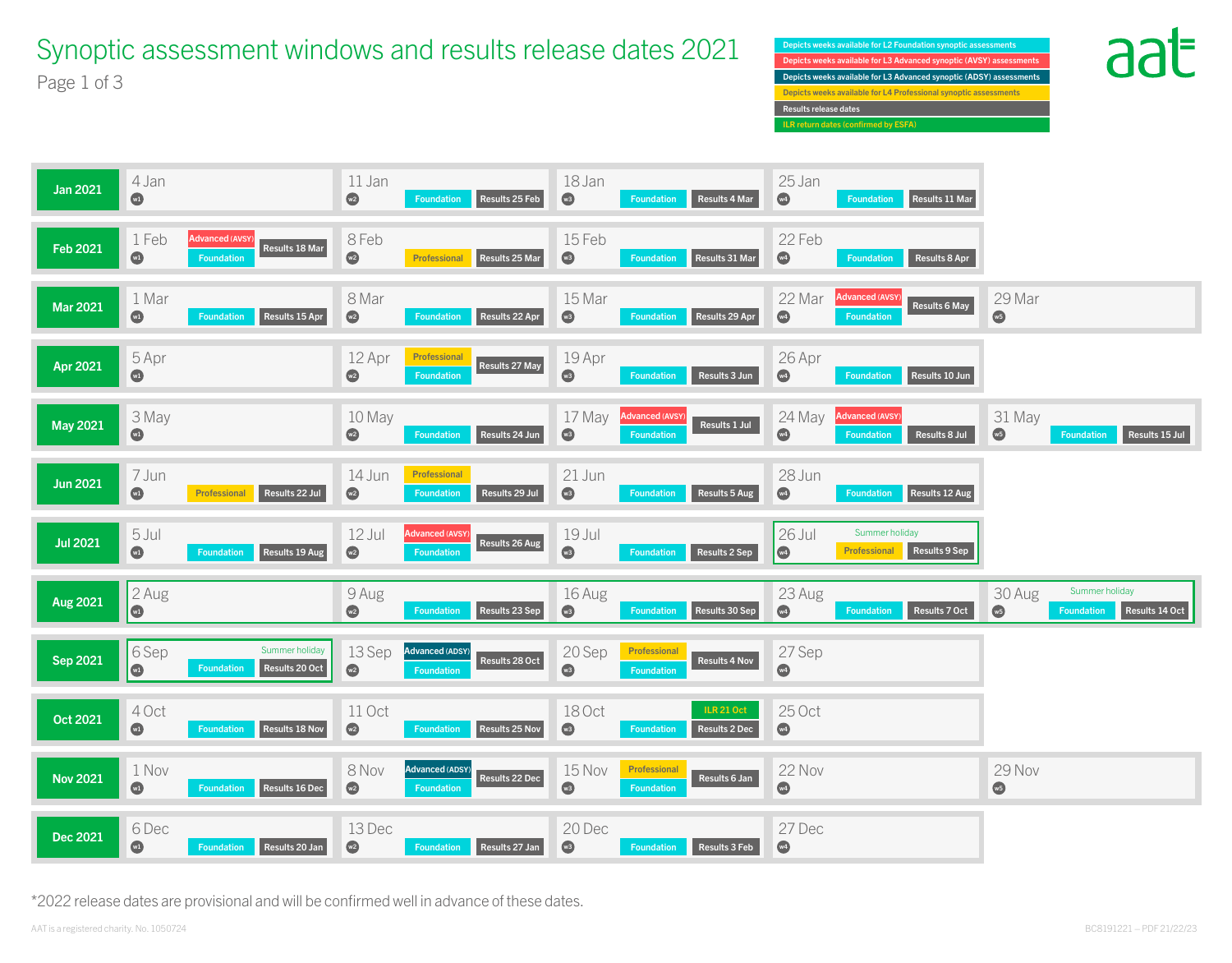Depicts weeks available for L3 Advanced synoptic (AVSY) assessments Depicts weeks available for L2 Foundation synoptic assessments Depicts weeks available for L3 Advanced synoptic (ADSY) assessments Depicts weeks available for L4 Professional synoptic assessments Results release dates ILR return dates (confirmed by ESFA)





## Synoptic assessment windows and results release dates 2021 Page 1 of 3



\*2022 release dates are provisional and will be confirmed well in advance of these dates.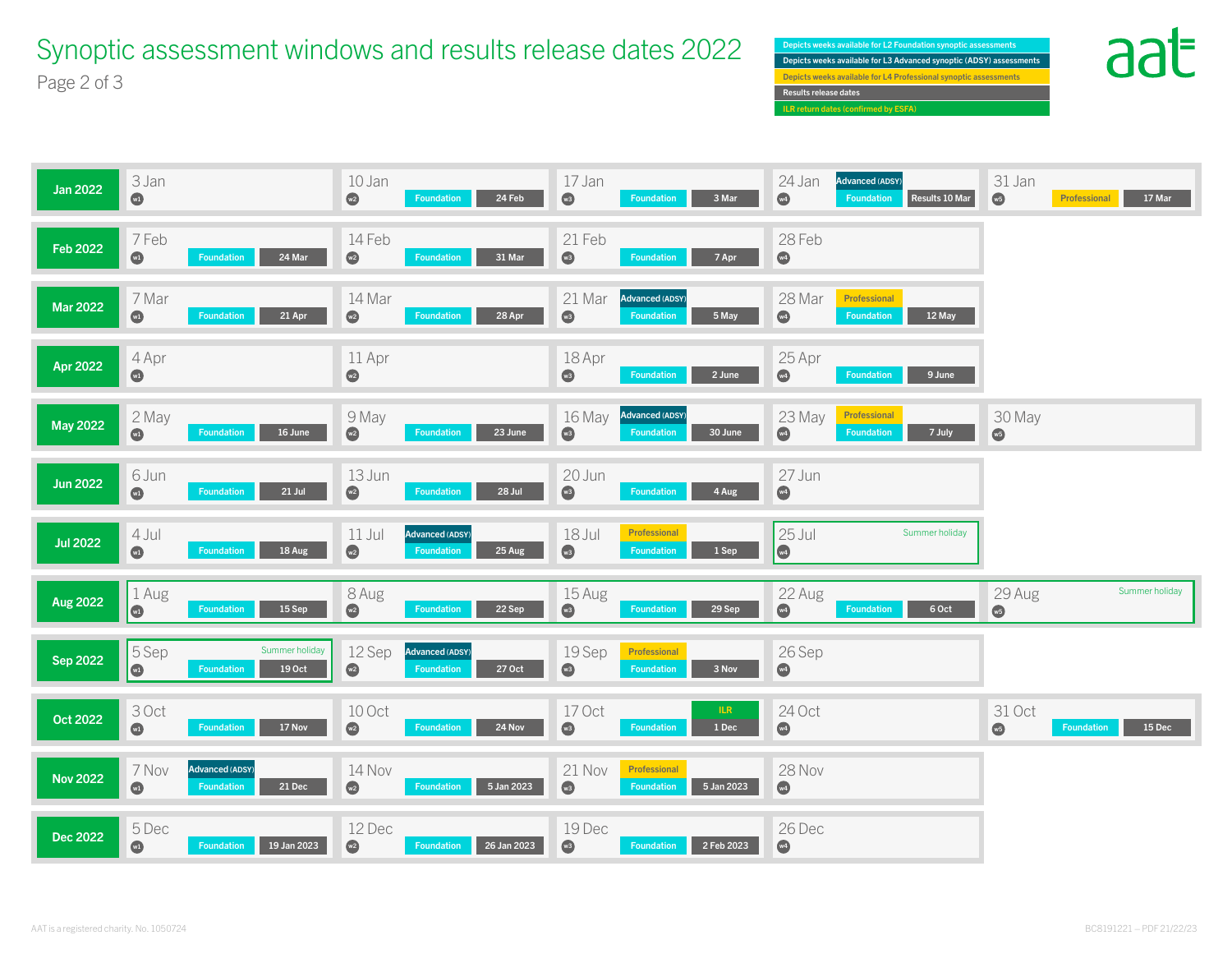**Results release dates available for Professional synoptic assessments** Depicts weeks available for L2 Foundation synoptic assessments Depicts weeks available for L4 Professional synoptic assess ILR return dates (confirmed by ESFA) Depicts weeks available for L3 Advanced synoptic (ADSY) assessments







Synoptic assessment windows and results release dates 2022 Page 2 of 3